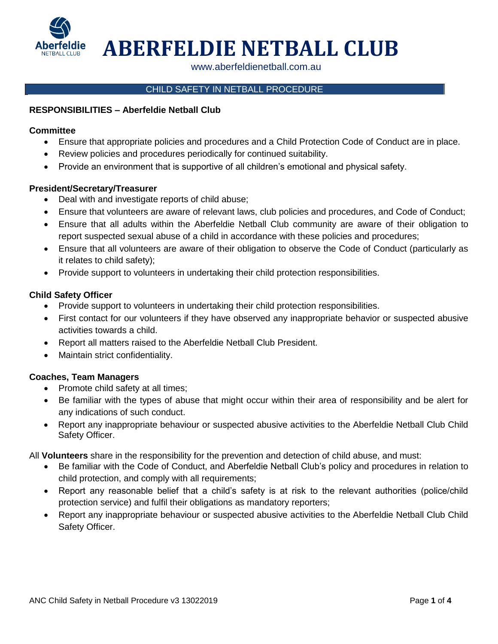

**ABERFELDIE NETBALL CLUB**

www.aberfeldienetball.com.au

# CHILD SAFETY IN NETBALL PROCEDURE

## **RESPONSIBILITIES – Aberfeldie Netball Club**

## **Committee**

- Ensure that appropriate policies and procedures and a Child Protection Code of Conduct are in place.
- Review policies and procedures periodically for continued suitability.
- Provide an environment that is supportive of all children's emotional and physical safety.

## **President/Secretary/Treasurer**

- Deal with and investigate reports of child abuse;
- Ensure that volunteers are aware of relevant laws, club policies and procedures, and Code of Conduct;
- Ensure that all adults within the Aberfeldie Netball Club community are aware of their obligation to report suspected sexual abuse of a child in accordance with these policies and procedures;
- Ensure that all volunteers are aware of their obligation to observe the Code of Conduct (particularly as it relates to child safety);
- Provide support to volunteers in undertaking their child protection responsibilities.

## **Child Safety Officer**

- Provide support to volunteers in undertaking their child protection responsibilities.
- First contact for our volunteers if they have observed any inappropriate behavior or suspected abusive activities towards a child.
- Report all matters raised to the Aberfeldie Netball Club President.
- Maintain strict confidentiality.

## **Coaches, Team Managers**

- Promote child safety at all times;
- Be familiar with the types of abuse that might occur within their area of responsibility and be alert for any indications of such conduct.
- Report any inappropriate behaviour or suspected abusive activities to the Aberfeldie Netball Club Child Safety Officer.

All **Volunteers** share in the responsibility for the prevention and detection of child abuse, and must:

- Be familiar with the Code of Conduct, and Aberfeldie Netball Club's policy and procedures in relation to child protection, and comply with all requirements;
- Report any reasonable belief that a child's safety is at risk to the relevant authorities (police/child protection service) and fulfil their obligations as mandatory reporters;
- Report any inappropriate behaviour or suspected abusive activities to the Aberfeldie Netball Club Child Safety Officer.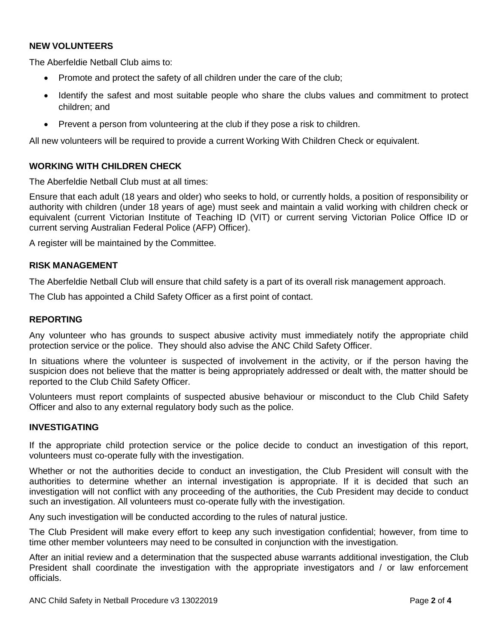## **NEW VOLUNTEERS**

The Aberfeldie Netball Club aims to:

- Promote and protect the safety of all children under the care of the club;
- Identify the safest and most suitable people who share the clubs values and commitment to protect children; and
- Prevent a person from volunteering at the club if they pose a risk to children.

All new volunteers will be required to provide a current Working With Children Check or equivalent.

## **WORKING WITH CHILDREN CHECK**

The Aberfeldie Netball Club must at all times:

Ensure that each adult (18 years and older) who seeks to hold, or currently holds, a position of responsibility or authority with children (under 18 years of age) must seek and maintain a valid working with children check or equivalent (current Victorian Institute of Teaching ID (VIT) or current serving Victorian Police Office ID or current serving Australian Federal Police (AFP) Officer).

A register will be maintained by the Committee.

#### **RISK MANAGEMENT**

The Aberfeldie Netball Club will ensure that child safety is a part of its overall risk management approach.

The Club has appointed a Child Safety Officer as a first point of contact.

## **REPORTING**

Any volunteer who has grounds to suspect abusive activity must immediately notify the appropriate child protection service or the police. They should also advise the ANC Child Safety Officer.

In situations where the volunteer is suspected of involvement in the activity, or if the person having the suspicion does not believe that the matter is being appropriately addressed or dealt with, the matter should be reported to the Club Child Safety Officer.

Volunteers must report complaints of suspected abusive behaviour or misconduct to the Club Child Safety Officer and also to any external regulatory body such as the police.

#### **INVESTIGATING**

If the appropriate child protection service or the police decide to conduct an investigation of this report, volunteers must co-operate fully with the investigation.

Whether or not the authorities decide to conduct an investigation, the Club President will consult with the authorities to determine whether an internal investigation is appropriate. If it is decided that such an investigation will not conflict with any proceeding of the authorities, the Cub President may decide to conduct such an investigation. All volunteers must co-operate fully with the investigation.

Any such investigation will be conducted according to the rules of natural justice.

The Club President will make every effort to keep any such investigation confidential; however, from time to time other member volunteers may need to be consulted in conjunction with the investigation.

After an initial review and a determination that the suspected abuse warrants additional investigation, the Club President shall coordinate the investigation with the appropriate investigators and / or law enforcement officials.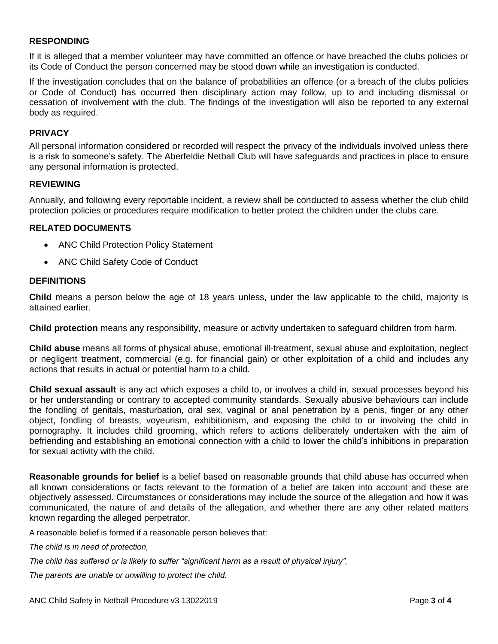## **RESPONDING**

If it is alleged that a member volunteer may have committed an offence or have breached the clubs policies or its Code of Conduct the person concerned may be stood down while an investigation is conducted.

If the investigation concludes that on the balance of probabilities an offence (or a breach of the clubs policies or Code of Conduct) has occurred then disciplinary action may follow, up to and including dismissal or cessation of involvement with the club. The findings of the investigation will also be reported to any external body as required.

## **PRIVACY**

All personal information considered or recorded will respect the privacy of the individuals involved unless there is a risk to someone's safety. The Aberfeldie Netball Club will have safeguards and practices in place to ensure any personal information is protected.

## **REVIEWING**

Annually, and following every reportable incident, a review shall be conducted to assess whether the club child protection policies or procedures require modification to better protect the children under the clubs care.

## **RELATED DOCUMENTS**

- ANC Child Protection Policy Statement
- ANC Child Safety Code of Conduct

#### **DEFINITIONS**

**Child** means a person below the age of 18 years unless, under the law applicable to the child, majority is attained earlier.

**Child protection** means any responsibility, measure or activity undertaken to safeguard children from harm.

**Child abuse** means all forms of physical abuse, emotional ill-treatment, sexual abuse and exploitation, neglect or negligent treatment, commercial (e.g. for financial gain) or other exploitation of a child and includes any actions that results in actual or potential harm to a child.

**Child sexual assault** is any act which exposes a child to, or involves a child in, sexual processes beyond his or her understanding or contrary to accepted community standards. Sexually abusive behaviours can include the fondling of genitals, masturbation, oral sex, vaginal or anal penetration by a penis, finger or any other object, fondling of breasts, voyeurism, exhibitionism, and exposing the child to or involving the child in pornography. It includes child grooming, which refers to actions deliberately undertaken with the aim of befriending and establishing an emotional connection with a child to lower the child's inhibitions in preparation for sexual activity with the child.

**Reasonable grounds for belief** is a belief based on reasonable grounds that child abuse has occurred when all known considerations or facts relevant to the formation of a belief are taken into account and these are objectively assessed. Circumstances or considerations may include the source of the allegation and how it was communicated, the nature of and details of the allegation, and whether there are any other related matters known regarding the alleged perpetrator.

A reasonable belief is formed if a reasonable person believes that:

*The child is in need of protection,* 

*The child has suffered or is likely to suffer "significant harm as a result of physical injury",* 

*The parents are unable or unwilling to protect the child.*